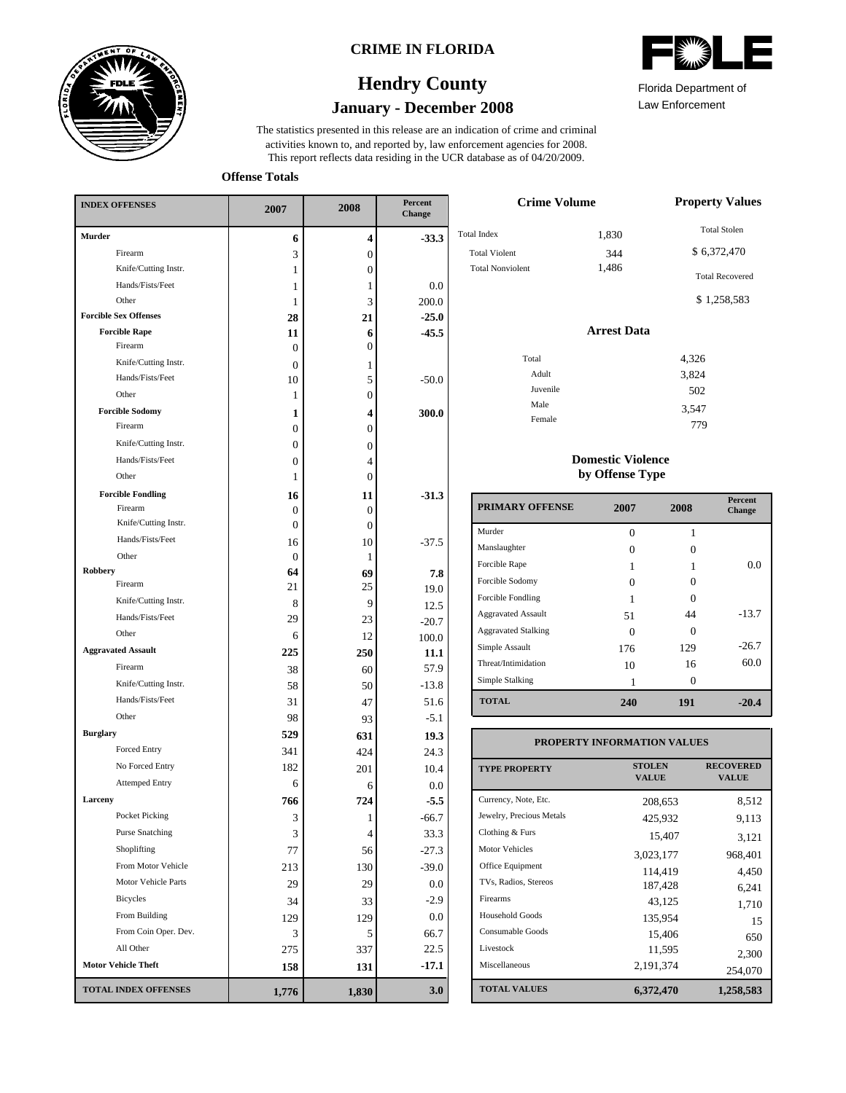

### **CRIME IN FLORIDA**

### **January - December 2008 Hendry County**





Law Enforcement Florida Department of

779

**Offense Totals**

| <b>INDEX OFFENSES</b>                    | 2007             | 2008             | Percent<br>Change |  |
|------------------------------------------|------------------|------------------|-------------------|--|
| Murder                                   | 6                | 4                | $-33.3$           |  |
| Firearm                                  | 3                | $\boldsymbol{0}$ |                   |  |
| Knife/Cutting Instr.                     | 1                | 0                |                   |  |
| Hands/Fists/Feet                         | 1                | 1                | 0.0               |  |
| Other                                    | 1                | 3                | 200.0             |  |
| <b>Forcible Sex Offenses</b>             | 28               | 21               | $-25.0$           |  |
| <b>Forcible Rape</b>                     | 11               | 6                | $-45.5$           |  |
| Firearm                                  | $\Omega$         | 0                |                   |  |
| Knife/Cutting Instr.                     | $\theta$         | 1                |                   |  |
| Hands/Fists/Feet                         | 10               | 5                | $-50.0$           |  |
| Other                                    | 1                | $\boldsymbol{0}$ |                   |  |
| <b>Forcible Sodomy</b><br>Firearm        | 1                | 4                | 300.0             |  |
|                                          | $\boldsymbol{0}$ | $\overline{0}$   |                   |  |
| Knife/Cutting Instr.                     | $\boldsymbol{0}$ | 0                |                   |  |
| Hands/Fists/Feet                         | $\boldsymbol{0}$ | 4                |                   |  |
| Other                                    | 1                | 0                |                   |  |
| <b>Forcible Fondling</b>                 | 16               | 11               | $-31.3$           |  |
| Firearm                                  | 0                | 0                |                   |  |
| Knife/Cutting Instr.<br>Hands/Fists/Feet | $\mathbf{0}$     | $\boldsymbol{0}$ |                   |  |
| Other                                    | 16               | 10               | $-37.5$           |  |
| <b>Robbery</b>                           | $\mathbf{0}$     | 1                |                   |  |
| Firearm                                  | 64<br>21         | 69<br>25         | 7.8               |  |
| Knife/Cutting Instr.                     | 8                | 9                | 19.0              |  |
| Hands/Fists/Feet                         | 29               | 23               | 12.5              |  |
| Other                                    | 6                | 12               | $-20.7$           |  |
| <b>Aggravated Assault</b>                | 225              |                  | 100.0             |  |
| Firearm                                  | 38               | 250              | 11.1<br>57.9      |  |
| Knife/Cutting Instr.                     | 58               | 60<br>50         | $-13.8$           |  |
| Hands/Fists/Feet                         | 31               |                  | 51.6              |  |
| Other                                    | 98               | 47               | $-5.1$            |  |
| <b>Burglary</b>                          | 529              | 93               |                   |  |
| Forced Entry                             | 341              | 631              | 19.3<br>24.3      |  |
| No Forced Entry                          | 182              | 424              | 10.4              |  |
| <b>Attemped Entry</b>                    | 6                | 201              |                   |  |
| Larceny                                  | 766              | 6<br>724         | 0.0<br>$-5.5$     |  |
| Pocket Picking                           |                  |                  | $-66.7$           |  |
| <b>Purse Snatching</b>                   | 3<br>3           | 1<br>4           | 33.3              |  |
| Shoplifting                              | 77               | 56               | $-27.3$           |  |
| From Motor Vehicle                       |                  |                  |                   |  |
| Motor Vehicle Parts                      | 213<br>29        | 130              | $-39.0$           |  |
| Bicycles                                 |                  | 29               | 0.0               |  |
| From Building                            | 34               | 33               | $-2.9$            |  |
| From Coin Oper. Dev.                     | 129              | 129              | 0.0               |  |
| All Other                                | 3                | 5                | 66.7              |  |
| <b>Motor Vehicle Theft</b>               | 275              | 337              | 22.5              |  |
|                                          | 158              | 131              | $-17.1$           |  |
| <b>TOTAL INDEX OFFENSES</b>              | 1,776            | 1,830            | 3.0               |  |

| <b>Crime Volume</b>     | <b>Property Values</b> |                        |
|-------------------------|------------------------|------------------------|
| <b>Total Index</b>      | 1,830                  | <b>Total Stolen</b>    |
| <b>Total Violent</b>    | 344                    | \$6,372,470            |
| <b>Total Nonviolent</b> | 1,486                  | <b>Total Recovered</b> |
|                         |                        | \$1,258,583            |
|                         | <b>Arrest Data</b>     |                        |
| Total                   |                        | 4,326                  |
| Adult                   |                        | 3,824                  |
| Juvenile                |                        | 502                    |
| Male                    |                        | 3,547                  |

#### **Domestic Violence by Offense Type**

Female

| <b>PRIMARY OFFENSE</b>     | 2007 | 2008 | <b>Percent</b><br>Change |
|----------------------------|------|------|--------------------------|
| Murder                     | 0    | 1    |                          |
| Manslaughter               | 0    | 0    |                          |
| Forcible Rape              |      |      | 0.0                      |
| Forcible Sodomy            | Ω    | 0    |                          |
| Forcible Fondling          |      | ∩    |                          |
| <b>Aggravated Assault</b>  | 51   | 44   | $-13.7$                  |
| <b>Aggravated Stalking</b> | 0    | ∩    |                          |
| Simple Assault             | 176  | 129  | $-26.7$                  |
| Threat/Intimidation        | 10   | 16   | 60.0                     |
| Simple Stalking            |      | 0    |                          |
| <b>TOTAL</b>               | 240  | 191  | $-20.4$                  |

#### **TOTAL VALUES VALUE PROPERTY STOLEN RECOVERED PROPERTY INFORMATION VALUES** Currency, Note, Etc. Jewelry, Precious Metals Clothing & Furs Motor Vehicles Office Equipment TVs, Radios, Stereos Firearms Household Goods Consumable Goods Livestock Miscellaneous 208,653 8,512 425,932 9,113 15,407 3,121 3,023,177 968,401 114,419 4,450 187,428 6,241 43,125 1,710 135,954 15 15,406 650  $11,595$  2,300<br>2,191,374 254,070 254,070 **6,372,470 1,258,583**